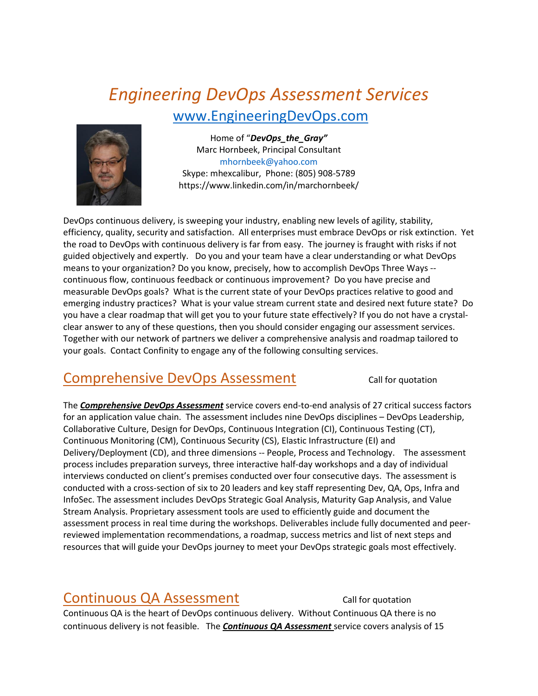# *Engineering DevOps Assessment Services* [www.EngineeringDevOps.com](http://www.engineeringdevops.com/)



Home of "*DevOps\_the\_Gray"* Marc Hornbeek, Principal Consultant [mhornbeek@yahoo.com](mailto:DevOps_the_Gray@ConfinityConsulting.com) Skype: mhexcalibur, Phone: (805) 908-5789 https://www.linkedin.com/in/marchornbeek/

DevOps continuous delivery, is sweeping your industry, enabling new levels of agility, stability, efficiency, quality, security and satisfaction. All enterprises must embrace DevOps or risk extinction. Yet the road to DevOps with continuous delivery is far from easy. The journey is fraught with risks if not guided objectively and expertly. Do you and your team have a clear understanding or what DevOps means to your organization? Do you know, precisely, how to accomplish DevOps Three Ways - continuous flow, continuous feedback or continuous improvement? Do you have precise and measurable DevOps goals? What is the current state of your DevOps practices relative to good and emerging industry practices? What is your value stream current state and desired next future state? Do you have a clear roadmap that will get you to your future state effectively? If you do not have a crystalclear answer to any of these questions, then you should consider engaging our assessment services. Together with our network of partners we deliver a comprehensive analysis and roadmap tailored to your goals. Contact Confinity to engage any of the following consulting services.

#### Comprehensive DevOps Assessment Call for quotation

The *Comprehensive DevOps Assessment* service covers end-to-end analysis of 27 critical success factors for an application value chain. The assessment includes nine DevOps disciplines – DevOps Leadership, Collaborative Culture, Design for DevOps, Continuous Integration (CI), Continuous Testing (CT), Continuous Monitoring (CM), Continuous Security (CS), Elastic Infrastructure (EI) and Delivery/Deployment (CD), and three dimensions -- People, Process and Technology. The assessment process includes preparation surveys, three interactive half-day workshops and a day of individual interviews conducted on client's premises conducted over four consecutive days. The assessment is conducted with a cross-section of six to 20 leaders and key staff representing Dev, QA, Ops, Infra and InfoSec. The assessment includes DevOps Strategic Goal Analysis, Maturity Gap Analysis, and Value Stream Analysis. Proprietary assessment tools are used to efficiently guide and document the assessment process in real time during the workshops. Deliverables include fully documented and peerreviewed implementation recommendations, a roadmap, success metrics and list of next steps and resources that will guide your DevOps journey to meet your DevOps strategic goals most effectively.

## Continuous QA Assessment Call for quotation

Continuous QA is the heart of DevOps continuous delivery. Without Continuous QA there is no continuous delivery is not feasible. The *Continuous QA Assessment* service covers analysis of 15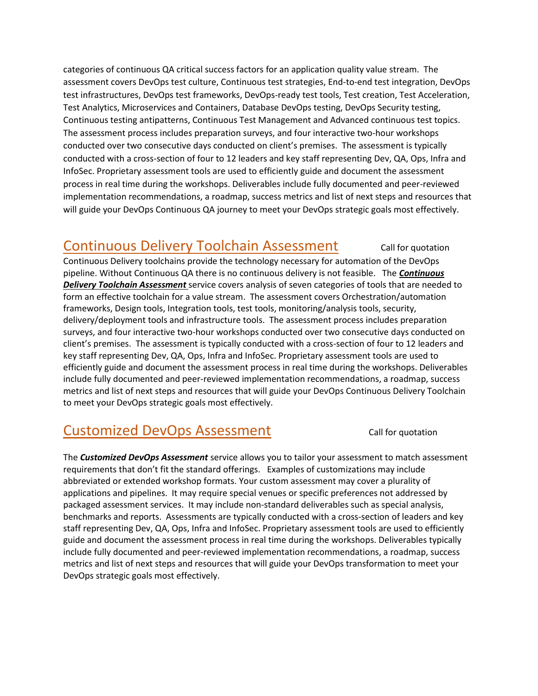categories of continuous QA critical success factors for an application quality value stream. The assessment covers DevOps test culture, Continuous test strategies, End-to-end test integration, DevOps test infrastructures, DevOps test frameworks, DevOps-ready test tools, Test creation, Test Acceleration, Test Analytics, Microservices and Containers, Database DevOps testing, DevOps Security testing, Continuous testing antipatterns, Continuous Test Management and Advanced continuous test topics. The assessment process includes preparation surveys, and four interactive two-hour workshops conducted over two consecutive days conducted on client's premises. The assessment is typically conducted with a cross-section of four to 12 leaders and key staff representing Dev, QA, Ops, Infra and InfoSec. Proprietary assessment tools are used to efficiently guide and document the assessment process in real time during the workshops. Deliverables include fully documented and peer-reviewed implementation recommendations, a roadmap, success metrics and list of next steps and resources that will guide your DevOps Continuous QA journey to meet your DevOps strategic goals most effectively.

#### Continuous Delivery Toolchain Assessment Call for quotation

Continuous Delivery toolchains provide the technology necessary for automation of the DevOps pipeline. Without Continuous QA there is no continuous delivery is not feasible. The *Continuous Delivery Toolchain Assessment* service covers analysis of seven categories of tools that are needed to form an effective toolchain for a value stream. The assessment covers Orchestration/automation frameworks, Design tools, Integration tools, test tools, monitoring/analysis tools, security, delivery/deployment tools and infrastructure tools. The assessment process includes preparation surveys, and four interactive two-hour workshops conducted over two consecutive days conducted on client's premises. The assessment is typically conducted with a cross-section of four to 12 leaders and key staff representing Dev, QA, Ops, Infra and InfoSec. Proprietary assessment tools are used to efficiently guide and document the assessment process in real time during the workshops. Deliverables include fully documented and peer-reviewed implementation recommendations, a roadmap, success metrics and list of next steps and resources that will guide your DevOps Continuous Delivery Toolchain to meet your DevOps strategic goals most effectively.

## Customized DevOps Assessment Call for quotation

The *Customized DevOps Assessment* service allows you to tailor your assessment to match assessment requirements that don't fit the standard offerings. Examples of customizations may include abbreviated or extended workshop formats. Your custom assessment may cover a plurality of applications and pipelines. It may require special venues or specific preferences not addressed by packaged assessment services. It may include non-standard deliverables such as special analysis, benchmarks and reports. Assessments are typically conducted with a cross-section of leaders and key staff representing Dev, QA, Ops, Infra and InfoSec. Proprietary assessment tools are used to efficiently guide and document the assessment process in real time during the workshops. Deliverables typically include fully documented and peer-reviewed implementation recommendations, a roadmap, success metrics and list of next steps and resources that will guide your DevOps transformation to meet your DevOps strategic goals most effectively.